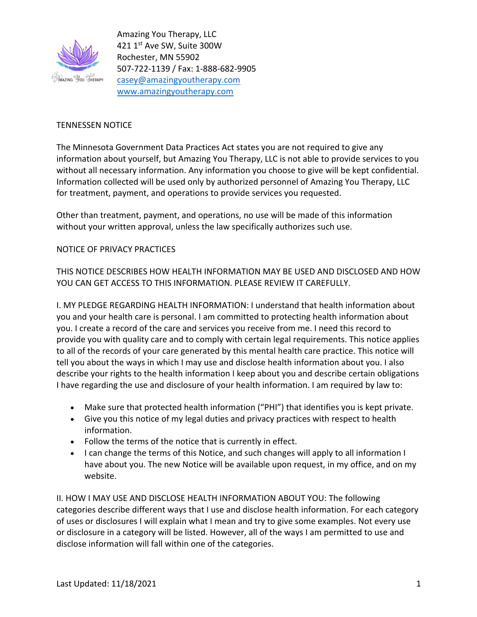

## TENNESSEN NOTICE

The Minnesota Government Data Practices Act states you are not required to give any information about yourself, but Amazing You Therapy, LLC is not able to provide services to you without all necessary information. Any information you choose to give will be kept confidential. Information collected will be used only by authorized personnel of Amazing You Therapy, LLC for treatment, payment, and operations to provide services you requested.

Other than treatment, payment, and operations, no use will be made of this information without your written approval, unless the law specifically authorizes such use.

## NOTICE OF PRIVACY PRACTICES

THIS NOTICE DESCRIBES HOW HEALTH INFORMATION MAY BE USED AND DISCLOSED AND HOW YOU CAN GET ACCESS TO THIS INFORMATION. PLEASE REVIEW IT CAREFULLY.

I. MY PLEDGE REGARDING HEALTH INFORMATION: I understand that health information about you and your health care is personal. I am committed to protecting health information about you. I create a record of the care and services you receive from me. I need this record to provide you with quality care and to comply with certain legal requirements. This notice applies to all of the records of your care generated by this mental health care practice. This notice will tell you about the ways in which I may use and disclose health information about you. I also describe your rights to the health information I keep about you and describe certain obligations I have regarding the use and disclosure of your health information. I am required by law to:

- Make sure that protected health information ("PHI") that identifies you is kept private.
- Give you this notice of my legal duties and privacy practices with respect to health information.
- Follow the terms of the notice that is currently in effect.
- I can change the terms of this Notice, and such changes will apply to all information I have about you. The new Notice will be available upon request, in my office, and on my website.

II. HOW I MAY USE AND DISCLOSE HEALTH INFORMATION ABOUT YOU: The following categories describe different ways that I use and disclose health information. For each category of uses or disclosures I will explain what I mean and try to give some examples. Not every use or disclosure in a category will be listed. However, all of the ways I am permitted to use and disclose information will fall within one of the categories.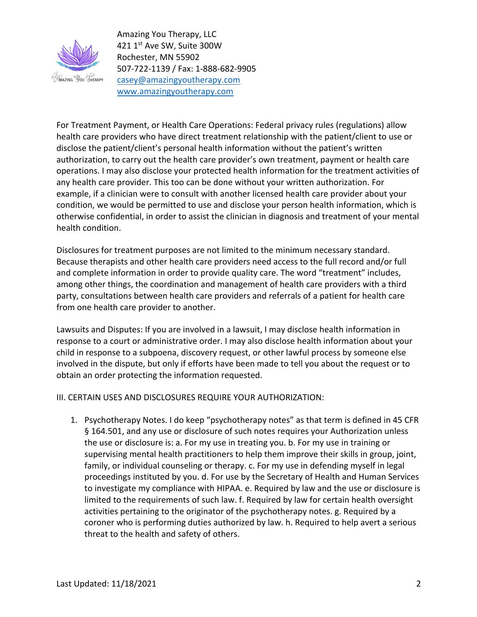

For Treatment Payment, or Health Care Operations: Federal privacy rules (regulations) allow health care providers who have direct treatment relationship with the patient/client to use or disclose the patient/client's personal health information without the patient's written authorization, to carry out the health care provider's own treatment, payment or health care operations. I may also disclose your protected health information for the treatment activities of any health care provider. This too can be done without your written authorization. For example, if a clinician were to consult with another licensed health care provider about your condition, we would be permitted to use and disclose your person health information, which is otherwise confidential, in order to assist the clinician in diagnosis and treatment of your mental health condition.

Disclosures for treatment purposes are not limited to the minimum necessary standard. Because therapists and other health care providers need access to the full record and/or full and complete information in order to provide quality care. The word "treatment" includes, among other things, the coordination and management of health care providers with a third party, consultations between health care providers and referrals of a patient for health care from one health care provider to another.

Lawsuits and Disputes: If you are involved in a lawsuit, I may disclose health information in response to a court or administrative order. I may also disclose health information about your child in response to a subpoena, discovery request, or other lawful process by someone else involved in the dispute, but only if efforts have been made to tell you about the request or to obtain an order protecting the information requested.

III. CERTAIN USES AND DISCLOSURES REQUIRE YOUR AUTHORIZATION:

1. Psychotherapy Notes. I do keep "psychotherapy notes" as that term is defined in 45 CFR § 164.501, and any use or disclosure of such notes requires your Authorization unless the use or disclosure is: a. For my use in treating you. b. For my use in training or supervising mental health practitioners to help them improve their skills in group, joint, family, or individual counseling or therapy. c. For my use in defending myself in legal proceedings instituted by you. d. For use by the Secretary of Health and Human Services to investigate my compliance with HIPAA. e. Required by law and the use or disclosure is limited to the requirements of such law. f. Required by law for certain health oversight activities pertaining to the originator of the psychotherapy notes. g. Required by a coroner who is performing duties authorized by law. h. Required to help avert a serious threat to the health and safety of others.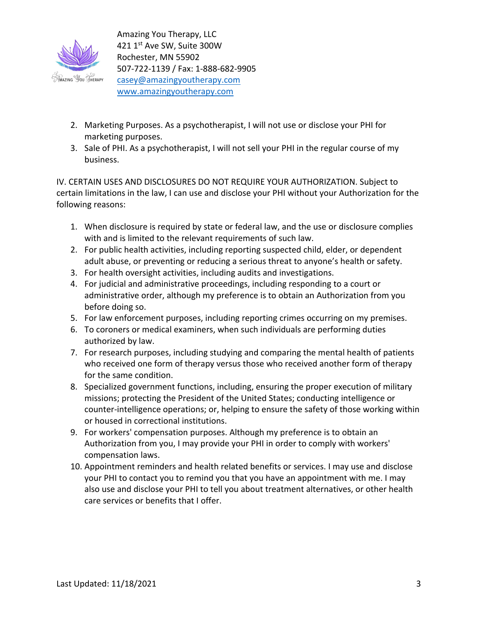

- 2. Marketing Purposes. As a psychotherapist, I will not use or disclose your PHI for marketing purposes.
- 3. Sale of PHI. As a psychotherapist, I will not sell your PHI in the regular course of my business.

IV. CERTAIN USES AND DISCLOSURES DO NOT REQUIRE YOUR AUTHORIZATION. Subject to certain limitations in the law, I can use and disclose your PHI without your Authorization for the following reasons:

- 1. When disclosure is required by state or federal law, and the use or disclosure complies with and is limited to the relevant requirements of such law.
- 2. For public health activities, including reporting suspected child, elder, or dependent adult abuse, or preventing or reducing a serious threat to anyone's health or safety.
- 3. For health oversight activities, including audits and investigations.
- 4. For judicial and administrative proceedings, including responding to a court or administrative order, although my preference is to obtain an Authorization from you before doing so.
- 5. For law enforcement purposes, including reporting crimes occurring on my premises.
- 6. To coroners or medical examiners, when such individuals are performing duties authorized by law.
- 7. For research purposes, including studying and comparing the mental health of patients who received one form of therapy versus those who received another form of therapy for the same condition.
- 8. Specialized government functions, including, ensuring the proper execution of military missions; protecting the President of the United States; conducting intelligence or counter-intelligence operations; or, helping to ensure the safety of those working within or housed in correctional institutions.
- 9. For workers' compensation purposes. Although my preference is to obtain an Authorization from you, I may provide your PHI in order to comply with workers' compensation laws.
- 10. Appointment reminders and health related benefits or services. I may use and disclose your PHI to contact you to remind you that you have an appointment with me. I may also use and disclose your PHI to tell you about treatment alternatives, or other health care services or benefits that I offer.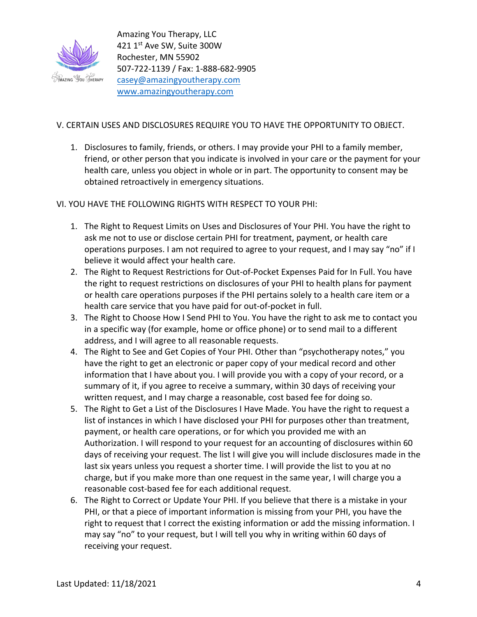

## V. CERTAIN USES AND DISCLOSURES REQUIRE YOU TO HAVE THE OPPORTUNITY TO OBJECT.

1. Disclosures to family, friends, or others. I may provide your PHI to a family member, friend, or other person that you indicate is involved in your care or the payment for your health care, unless you object in whole or in part. The opportunity to consent may be obtained retroactively in emergency situations.

VI. YOU HAVE THE FOLLOWING RIGHTS WITH RESPECT TO YOUR PHI:

- 1. The Right to Request Limits on Uses and Disclosures of Your PHI. You have the right to ask me not to use or disclose certain PHI for treatment, payment, or health care operations purposes. I am not required to agree to your request, and I may say "no" if I believe it would affect your health care.
- 2. The Right to Request Restrictions for Out-of-Pocket Expenses Paid for In Full. You have the right to request restrictions on disclosures of your PHI to health plans for payment or health care operations purposes if the PHI pertains solely to a health care item or a health care service that you have paid for out-of-pocket in full.
- 3. The Right to Choose How I Send PHI to You. You have the right to ask me to contact you in a specific way (for example, home or office phone) or to send mail to a different address, and I will agree to all reasonable requests.
- 4. The Right to See and Get Copies of Your PHI. Other than "psychotherapy notes," you have the right to get an electronic or paper copy of your medical record and other information that I have about you. I will provide you with a copy of your record, or a summary of it, if you agree to receive a summary, within 30 days of receiving your written request, and I may charge a reasonable, cost based fee for doing so.
- 5. The Right to Get a List of the Disclosures I Have Made. You have the right to request a list of instances in which I have disclosed your PHI for purposes other than treatment, payment, or health care operations, or for which you provided me with an Authorization. I will respond to your request for an accounting of disclosures within 60 days of receiving your request. The list I will give you will include disclosures made in the last six years unless you request a shorter time. I will provide the list to you at no charge, but if you make more than one request in the same year, I will charge you a reasonable cost-based fee for each additional request.
- 6. The Right to Correct or Update Your PHI. If you believe that there is a mistake in your PHI, or that a piece of important information is missing from your PHI, you have the right to request that I correct the existing information or add the missing information. I may say "no" to your request, but I will tell you why in writing within 60 days of receiving your request.